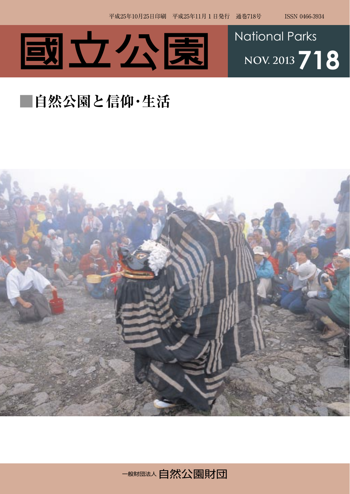



## **■自然公園と信仰・生活**



一般財団法人自然公園財団